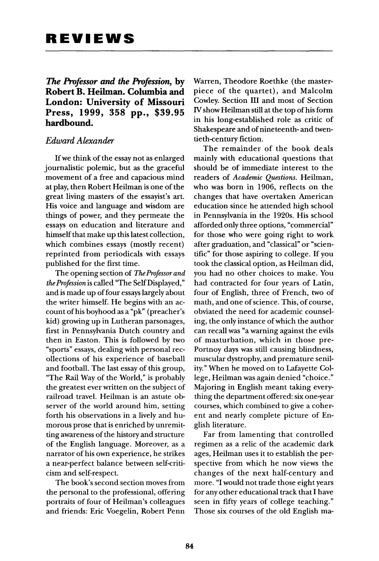*The Professor and the Profession,* **by London: University of Missouri London: University of Missouri Press, 1999, 358 pp., \$39.95 hardbound.** 

# *Edward Alexander*

If we think of the essay not as enlarged<br>journalistic polemic, but as the graceful movement of a free and capacious mind at play, then Robert Heilman is one of the great living masters of the essayist's art. His voice and language and wisdom are things of power, and they permeate the essays on education and literature and himself that make up this latest collection, which combines essays (mostly recent) reprinted from periodicals with essays published for the first time.

The opening section of The Professor and the Profession is called "The Self Displayed," and is made up of four essays largely about the writer himself. He begins with an account of his boyhood as a "pk" (preacher's kid) growing up in Lutheran parsonages, first in Pennsylvania Dutch country and then in Easton. This is followed by two "sports" essays, dealing with personal recollections of his experience of baseball and football. The last essay of this group, "The Rail Way of the World," is probably the greatest ever written on the subject of railroad travel. Heilman is an astute observer of the world around him, setting forth his observations in a lively and humorous prose that is enriched by unremitting awareness of the history and structure of the English language. Moreover, as a of the English language. Moreover, as a narrator of his own experience, he strikes a near-perfect balance between self-criti-

The book's second section moves from the personal to the professional, offering portraits of four of Heilman's colleagues portraits of four of Heilman's colleagues and friends: Eric Voegelin, Robert Penn Warren, Theodore Roethke (the master-<br>piece of the quartet), and Malcolm Cowley. Section III and most of Section IV show Heilman still at the top of his form in his long-established role as critic of in his long-established role as critic of Shakespeare and of nineteenth- and twen-

tieth-century fiction.<br>The remainder of the book deals mainly with educational questions that should be of immediate interest to the readers of Academic Questions. Heilman, who was born in 1906, reflects on the changes that have overtaken American education since he attended high school in Pennsylvania in the 1920s. His school afforded only three options, "commercial" for those who were going right to work after graduation, and "classical" or "scientific" for those aspiring to college. If you took the classical option, as Heilman did, you had no other choices to make. You had contracted for four years of Latin, four of English, three of French, two of math, and one of science. This, of course, obviated the need for academic counseling, the only instance of which the author can recall was "a warning against the evils of masturbation, which in those pre-Portnoy days was still causing blindness, muscular dystrophy, and premature senility." When he moved on to Lafayette College, Heilman was again denied "choice." Majoring in English meant taking everything the department offered: six one-year courses, which combined to give a cohercourses, which combined to give a coherent and nearly complete picture of En-

glish literature.<br>Far from lamenting that controlled regimen as a relic of the academic dark ages, Heilman uses it to establish the perspective from which he now views the changes of the next half-century and more. "I would not trade those eight years for any other educational track that I have seen in fifty years of college teaching." seen in fifty years of college teaching." Those six courses of the old English ma-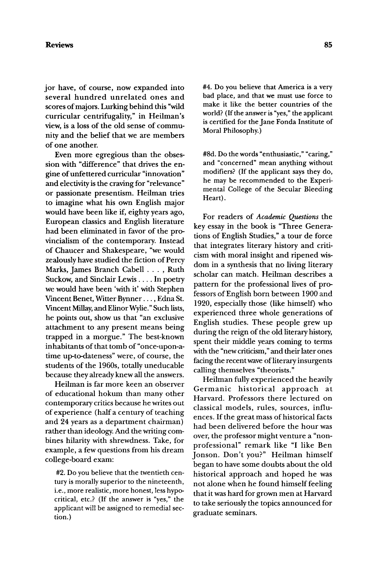## **Reviews 85**

jor have, of course, now expanded into several hundred unrelated ones and scores of majors. Lurking behind this "wild curricular centrifugality," in Heilman's view, is a loss of the old sense of community and the belief that we are members of one another.

Even more egregious than the obsession with "difference" that drives the engine of unfettered curricular "innovation" and electivity is the craving for "relevance" or passionate presentism. Heilman tries to imagine what his own English major would have been like if, eighty years ago, European classics and English literature had been eliminated in favor of the provincialism of the contemporary. Instead of Chaucer and Shakespeare, "we would zealously have studied the fiction of Percy Marks, James Branch Cabell . . . , Ruth Suckow, and Sinclair Lewis .... In poetry we would have been 'with it' with Stephen Vincent Benet, Witter Bynner .... Edna St. Vincent Millay, and Elinor Wylie." Such lists, he points out, show us that "an exclusive attachment to any present means being trapped in a morgue." The best-known inhabitants of that tomb of "once-upon-atime up-to-dateness" were, of course, the students of the 1960s, totally uneducable because they already knew all the answers.

Heilman is far more keen an observer of educational hokum than many other contemporary critics because he writes out of experience (halfa century of teaching and 24 years as a department chairman) rather than ideology. And the writing combines hilarity with shrewdness. Take, for example, a few questions from his dream college-board exam:

#2. Do you believe that the twentieth century is morally superior to the nineteenth, i.e., more realistic, more honest, less hypocritical, etc.? (If the answer is "yes," the applicant will be assigned to remedial section.)

#4. Do you believe that America is a very bad place, and that we must use force to make it like the better countries of the world? (If the answer is "yes," the applicant is certified for the Jane Fonda Institute of Moral Philosophy.)

#8d. Do the words *"enthusiastic,"* "caring," and "concerned" mean anything without modifiers? (If the applicant says they do, he may be recommended to the Experimental College of the Secular Bleeding Heart).

For readers of *Academic Questions* the key essay in the book is "Three Generations of English Studies," a tour de force that integrates literary history and criticism with moral insight and ripened wisdom in a synthesis that no living literary scholar can match. Heilman describes a pattern for the professional lives of professors of English born between 1900 and 1920, especially those (like himself) who experienced three whole generations of English studies. These people grew up during the reign of the old literary history, spent their middle years coming to terms with the "new criticism," and their later ones facing the recent wave of literary insurgents calling themselves "theorists."

Heilman fully experienced the heavily Germanic historical approach at Harvard. Professors there lectured on classical models, rules, sources, influences. If the great mass of historical facts had been delivered before the hour was over, the professor might venture a "nonprofessional" remark like "I like Ben Jonson. Don't you?" Heilman himself began to have some doubts about the old historical approach and hoped he was not alone when he found himself feeling that it was hard for grown men at Harvard to take seriously the topics announced for graduate seminars.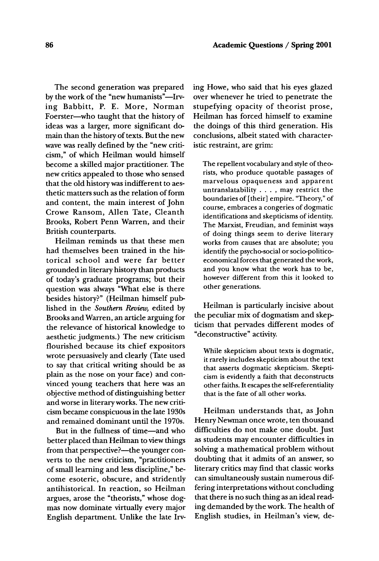The second generation was prepared by the work of the "new humanists"--Irving Babbitt, P. E. More, Norman Foerster--who taught that the history of ideas was a larger, more significant domain than the history of texts. But the new wave was really defined by the "new criticism," of which Heilman would himself become a skilled major practitioner. The new critics appealed to those who sensed that the old history was indifferent to aesthetic matters such as the relation of form and content, the main interest of John Crowe Ransom, Allen Tate, Cleanth Brooks, Robert Penn Warren, and their British counterparts.

Heilman reminds us that these men had themselves been trained in the historical school and were far better grounded in literary history than products of today's graduate programs; but their question was always "What else is there besides history?" (Heilman himself published in the *Southern Review,* edited by Brooks and Warren, an article arguing for the relevance of historical knowledge to aesthetic judgments.) The new criticism flourished because its chief expositors wrote persuasively and clearly (Tate used to say that critical writing should be as plain as the nose on your face) and convinced young teachers that here was an objective method of distinguishing better and worse in literary works. The new criticism became conspicuous in the late 1930s and remained dominant until the 1970s.

But in the fullness of time--and who better placed than Heilman to view things from that perspective?—the younger converts to the new criticism, "practitioners of small learning and less discipline," become esoteric, obscure, and stridently antihistorical. In reaction, so Heilman argues, arose the "theorists," whose dogmas now dominate virtually every major English department. Unlike the late Irving Howe, who said that his eyes glazed over whenever he tried to penetrate the stupefying opacity of theorist prose, Heilman has forced himself to examine the doings of this third generation. His conclusions, albeit stated with characteristic restraint, are grim:

The repellent vocabulary and style of theorists, who produce quotable passages of marvelous opaqueness and apparent untranslatability .... may restrict the boundaries of [their] empire. "Theory," of course, embraces a congeries of dogmatic identifications and skepticisms of identity. The Marxist, Freudian, and feminist ways of doing things seem to derive literary works from causes that are absolute; you identify the psycho-social or socio-politicoeconomical forces that generated the work, and you know what the work has to be, however different from this it looked to other generations.

Heilman is particularly incisive about the peculiar mix of dogmatism and skepticism that pervades different modes of "deconstructive" activity.

While skepticism about texts is dogmatic, it rarely includes skepticism about the text that asserts dogmatic skepticism. Skepticism is evidently a faith that deconstructs other faiths. It escapes the self-referentiality that is the fate of all other works.

Heilman understands that, as John Henry Newman once wrote, ten thousand difficulties do not make one doubt. Just as students may encounter difficulties in solving a mathematical problem without doubting that it admits of an answer, so literary critics may find that classic works can simultaneously sustain numerous differing interpretations without concluding that there is no such thing as an ideal reading demanded by the work. The health of English studies, in Heilman's view, de-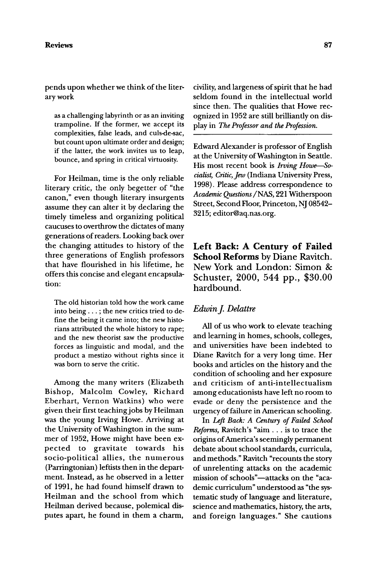### **Reviews 87**

pends upon whether we think of the literary work

as a challenging labyrinth or as an inviting trampoline. If the former, we accept its complexities, false leads, and culs-de-sac, but count upon ultimate order and design; if the latter, the work invites us to leap, bounce, and spring in critical virtuosity.

For Heilman, time is the only reliable literary critic, the only begetter of "the canon," even though literary insurgents assume they can alter it by declaring the timely timeless and organizing political caucuses to overthrow the dictates of many generations of readers. Looking back over the changing attitudes to history of the three generations of English professors that have flourished in his lifetime, he offers this concise and elegant encapsulation:

The old historian told how the work came into being... ; the new critics tried to define the being it came into; the new historians attributed the whole history to rape; and the new theorist saw the productive forces as linguistic and modal, and the product a mestizo without rights since it was born to serve the critic.

Among the many writers (Elizabeth Bishop, Malcolm Cowley, Richard Eberhart, Vernon Watkins) who were given their first teaching jobs by Heilman was the young Irving Howe. Arriving at the University of Washington in the summer of 1952, Howe might have been expected to gravitate towards his socio-political allies, the numerous (Parringtonian) leftists then in the department. Instead, as he observed in a letter of 1991, he had found himself drawn to Heilman and the school from which Heilman derived because, polemical disputes apart, he found in them a charm,

civility, and largeness of spirit that he had seldom found in the intellectual world since then. The qualities that Howe recognized in 1952 are still brilliandy on display in *The Professor and the Profession.* 

Edward Alexander is professor of English at the University of Washington in Seattle. His most recent book is *Irving Howe*-So*cialist, Critic, Jew* (Indiana University Press, 1998). Please address correspondence to *Academic Questions /NAS,* 221 Witherspoon Street, Second Floor, Princeton, NJ 08542- 3215; editor@aq.nas.org.

**Left Back: A Century of Failed School** Reforms by Diane Ravitch. New York and London: Simon & Schuster, 2000, 544 pp., \$30.00 hardbound.

## *Edwin J. Delattre*

All of us who work to elevate teaching and learning in homes, schools, colleges, and universities have been indebted to Diane Ravitch for a very long time. Her books and articles on the history and the condition of schooling and her exposure and criticism of anti-intellectualism among educationists have left no room to evade or deny the persistence and the urgency of failure in American schooling.

In *Left Back: A Century of Failed School*  Reforms, Ravitch's "aim... is to trace the origins of America's seemingly permanent debate about school standards, curricula, and methods." Ravitch "recounts the story of unrelenting attacks on the academic mission of schools"-attacks on the "academic curriculum" understood as "the systematic study of language and literature, science and mathematics, history, the arts, and foreign languages." She cautions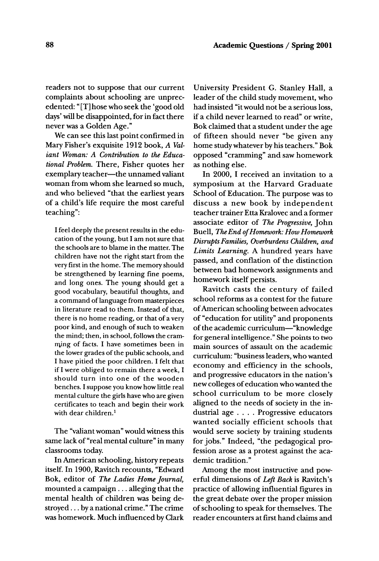readers not to suppose that our current complaints about schooling are unprecedented: "[T] hose who seek the 'good old days' will be disappointed, for in fact there never was a Golden Age."

We can see this last point confirmed in Mary Fisher's exquisite 1912 book, *A Valiant Woman: A Contribution to the Educational Problem.* There, Fisher quotes her exemplary teacher-the unnamed valiant woman from whom she learned so much, and who believed "that the earliest years of a child's life require the most careful teaching":

I feel deeply the present results in the education of the young, but I am not sure that the schools are to blame in the matter. The children have not the right start from the very first in the home. The memory should be strengthened by learning fine poems, and long ones. The young should get a good vocabulary, beautiful thoughts, and a command of language from masterpieces in literature read to them. Instead of that, there is no home reading, or that of a very poor kind, and enough of such to weaken the mind; then, in school, follows the cramming of facts. I have sometimes been in the lower grades of the public schools, and I have pitied the poor children. I felt that if I were obliged to remain there a week, I should turn into one of the wooden benches. I suppose you know how little real mental culture the girls have who are given certificates to teach and begin their work with dear children.<sup>1</sup>

The "valiant woman" would witness this same lack of "real mental culture" in many classrooms today.

In American schooling, history repeats itself. In 1900, Ravitch recounts, "Edward Bok, editor of *The Ladies Home Journal,*  mounted a campaign.., alleging that the mental health of children was being destroyed.., by a national crime." The crime was homework. Much influenced by Clark University President G. Stanley Hall, a leader of the child study movement, who had insisted "it would not be a serious loss, if a child never learned to read" or write, Bok claimed that a student under the age of fifteen should never "be given any home study whatever by his teachers." Bok opposed "cramming" and saw homework as nothing else.

In 2000, I received an invitation to a symposium at the Harvard Graduate School of Education. The purpose was to discuss a new book by independent teacher trainer Etta Kralovec and a former associate editor of *The Progressive,* John Buell, *The End of Homework: How Homework Disrupts Families, Overburdens Children, and Limits Learning.* A hundred years have passed, and conflation of the distinction between bad homework assignments and homework itself persists.

Ravitch casts the century of failed school reforms as a contest for the future of American schooling between advocates of "education for utility" and proponents of the academic curriculum-"knowledge for general intelligence." She points to two main sources of assault on the academic curriculum: "business leaders, who wanted economy and efficiency in the schools, and progressive educators in the nation's new colleges of education who wanted the school curriculum to be more closely aligned to the needs of society in the industrial age .... Progressive educators wanted socially efficient schools that would serve society by training students for jobs." Indeed, "the pedagogical profession arose as a protest against the academic tradition."

Among the most instructive and powerful dimensions of *Left Back* is Ravitch's practice of allowing influential figures in the great debate over the proper mission of schooling to speak for themselves. The reader encounters at first hand claims and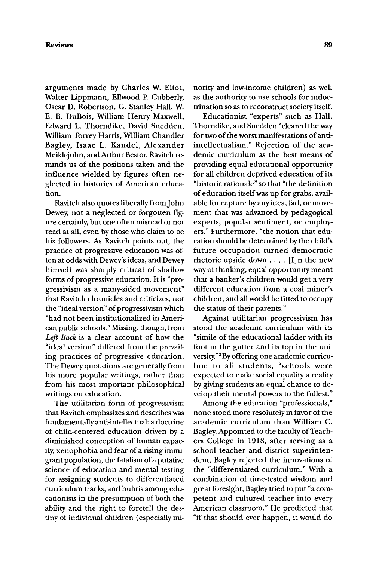arguments made by Charles W. Eliot, Walter Lippmann, Ellwood P. Cubberly, Oscar D. Robertson, G. Stanley Hall, W. E. B. DuBois, William Henry Maxwell, Edward L. Thorndike, David Snedden, William Torrey Harris, William Chandler Bagley, Isaac L. Kandel, Alexander Meiklejohn, and Arthur Bestor. Ravitch reminds us of the positions taken and the influence wielded by figures often neglected in histories of American education.

Ravitch also quotes liberally from John Dewey, not a neglected or forgotten figure certainly, but one often misread or not read at all, even by those who claim to be his followers. As Ravitch points out, the practice of progressive education was often at odds with Dewey's ideas, and Dewey himself was sharply critical of shallow forms of progressive education. It is "progressivism as a many-sided movement" that Ravitch chronicles and criticizes, not the "ideal version" of progressivism which "had not been institutionalized in American public schools." Missing, though, from *Left Back* is a clear account of how the "ideal version" differed from the prevailing practices of progressive education. The Dewey quotations are generally from his more popular writings, rather than from his most important philosophical writings on education.

The utilitarian form of progressivism that Ravitch emphasizes and describes was fundamentally anti-intellectual: a doctrine of child-centered education driven by a diminished conception of human capacity, xenophobia and fear of a rising immigrant population, the fatalism of a putative science of education and mental testing for assigning students to differentiated curriculum tracks, and hubris among educationists in the presumption of both the ability and the right to foretell the destiny of individual children (especially minority and low-income children) as well as the authority to use schools for indoctrination so as to reconstruct society itself.

Educationist "experts" such as Hall, Thorndike, and Snedden "cleared the way for two of the worst manifestations of antiintellectualism." Rejection of the academic curriculum as the best means of providing equal educational opportunity for all children deprived education of its "historic rationale" so that "the definition of education itself was up for grabs, available for capture by any idea, fad, or movement that was advanced by pedagogical experts, popular sentiment, or employers." Furthermore, "the notion that education should be determined by the child's future occupation turned democratic rhetoric upside down . . . . [I]n the new way of thinking, equal opportunity meant that a banker's children would get a very different education from a coal miner's children, and all would be fitted to occupy the status of their parents."

Against utilitarian progressivism has stood the academic curriculum with its "simile of the educational ladder with its foot in the gutter and its top in the university."<sup>2</sup> By offering one academic curriculum to all students, "schools were expected to make social equality a reality by giving students an equal chance to develop their mental powers to the fullest."

Among the education "professionals," none stood more resolutely in favor of the academic curriculum than William C. Bagley. Appointed to the faculty of Teachers College in 1918, after serving as a school teacher and district superintendent, Bagley rejected the innovations of the "differentiated curriculum." With a combination of time-tested wisdom and great foresight, Bagley tried to put "a competent and cultured teacher into every American classroom." He predicted that "if that should ever happen, it would do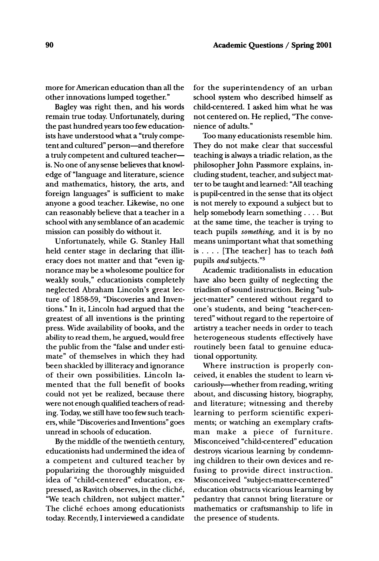more for American education than all the other innovations lumped together."

Bagley was right then, and his words remain true today. Unfortunately, during the past hundred years too few educationists have understood what a "truly competent and cultured" person-and therefore a truly competent and cultured teacheris. No one of any sense believes that knowledge of "language and literature, science and mathematics, history, the arts, and foreign languages" is sufficient to make anyone a good teacher. Likewise, no one can reasonably believe that a teacher in a school with any semblance of an academic mission can possibly do without it.

Unfortunately, while G. Stanley Hall held center stage in declaring that illiteracy does not matter and that "even ignorance may be a wholesome poultice for weakly souls," educationists completely neglected Abraham Lincoln's great lecture of 1858-59, "Discoveries and Inventions." In it, Lincoln had argued that the greatest of all inventions is the printing press. Wide availability of books, and the ability to read them, he argued, would free the public from the "false and under estimate" of themselves in which they had been shackled by illiteracy and ignorance of their own possibilities. Lincoln lamented that the full benefit of books could not yet be realized, because there were not enough qualified teachers of reading. Today, we still have too few such teachers, while "Discoveries and Inventions" goes unread in schools of education.

By the middle of the twentieth century, educationists had undermined the idea of a competent and cultured teacher by popularizing the thoroughly misguided idea of "child-centered" education, expressed, as Ravitch observes, in the cliche, "We teach children, not subject matter." The cliché echoes among educationists today. Recendy, I interviewed a candidate

for the superintendency of an urban school system who described himself as child-centered. I asked him what he was not centered on. He replied, "The convenience of adults."

Too many educationists resemble him. They do not make clear that successful teaching is always a triadic relation, as the philosopher John Passmore explains, including student, teacher, and subject matter to be taught and learned: "All teaching is pupil-centred in the sense that its object is not merely to expound a subject but to help somebody learn something .... But at the same time, the teacher is trying to teach pupils *something,* and it is by no means unimportant what that something is .... [The teacher] has to teach *both*  pupils *and* subjects. ''3

Academic traditionalists in education have also been guilty of neglecting the triadism of sound instruction. Being "subject-matter" centered without regard to one's students, and being "teacher-centered" without regard to the repertoire of artistry a teacher needs in order to teach heterogeneous students effectively have routinely been fatal to genuine educational opportunity.

Where instruction is properly conceived, it enables the student to learn vicariously-whether from reading, writing about, and discussing history, biography, and literature; witnessing and thereby learning to perform scientific experiments; or watching an exemplary craftsman make a piece of furniture. Misconceived "child-centered" education destroys vicarious learning by condemning children to their own devices and refusing to provide direct instruction. Misconceived "subject-matter-centered" education obstructs vicarious learning by pedantry that cannot bring literature or mathematics or craftsmanship to life in the presence of students.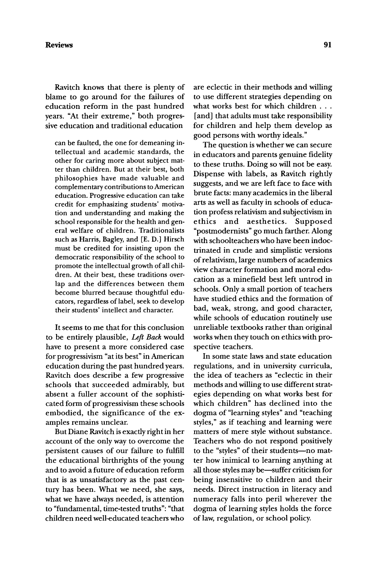Ravitch knows that there is plenty of blame to go around for the failures of education reform in the past hundred years. "At their extreme," both progressive education and traditional education

can be faulted, the one for demeaning intellectual and academic standards, the other for caring more about subject matter than children. But at their best, both philosophies have made valuable and complementary contributions to American education. Progressive education can take credit for emphasizing students' motivation and understanding and making the school responsible for the health and general welfare of children. Traditionalists such as Harris, Bagley, and [E. D.] Hirsch must be credited for insisting upon the democratic responsibility of the school to promote the intellectual growth of all children. At their best, these traditions overlap and the differences between them become blurred because thoughtful educators, regardless of label, seek to develop their students' intellect and character.

It seems to me that for this conclusion to be entirely plausible, *Left Back* would have to present a more considered case for progressivism "at its best" in American education during the past hundred years. Ravitch does describe a few progressive schools that succeeded admirably, but absent a fuller account of the sophisticated form of progressivism these schools embodied, the significance of the examples remains unclear.

But Diane Ravitch is exactly right in her account of the only way to overcome the persistent causes of our failure to fulfill the educational birthrights of the young and to avoid a future of education reform that is as unsatisfactory as the past century has been. What we need, she says, what we have always needed, is attention to "fundamental, time-tested truths": "that children need well-educated teachers who

are eclectic in their methods and willing to use different strategies depending on what works best for which children . . . [and] that adults must take responsibility for children and help them develop as good persons with worthy ideals."

The question is whether we can secure in educators and parents genuine fidelity to these truths. Doing so will not be easy. Dispense with labels, as Ravitch rightly suggests, and we are left face to face with brute facts: many academics in the liberal arts as well as faculty in schools of education profess relativism and subjectivism in ethics and aesthetics. Supposed "postmodernists" go much farther. Along with schoolteachers who have been indoctrinated in crude and simplistic versions of relativism, large numbers of academics view character formation and moral education as a minefield best left untrod in schools. Only a small portion of teachers have studied ethics and the formation of bad, weak, strong, and good character, while schools of education routinely use unreliable textbooks rather than original works when they touch on ethics with prospective teachers.

In some state laws and state education regulations, and in university curricula, the idea of teachers as "eclectic in their methods and willing to use different strategies depending on what works best for which children" has declined into the dogma of "learning styles" and "teaching styles," as if teaching and learning were matters of mere style without substance. Teachers who do not respond positively to the "styles" of their students--no matter how inimical to learning anything at all those styles may be-suffer criticism for being insensitive to children and their needs. Direct instruction in literacy and numeracy falls into peril wherever the dogma of learning styles holds the force of law, regulation, or school policy.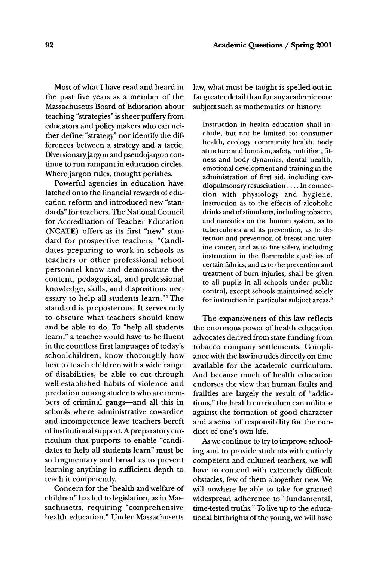Most of what I have read and heard in the past five years as a member of the Massachusetts Board of Education about teaching "strategies" is sheer puffery from educators and policy makers who can neither define "strategy" nor identify the differences between a strategy and a tactic. Diversionary jargon and pseudojargon continue to run rampant in education circles. Where jargon rules, thought perishes.

Powerful agencies in education have latched onto the financial rewards of education reform and introduced new "standards" for teachers. The National Council for Accreditation of Teacher Education (NCATE) offers as its first "new" standard for prospective teachers: "Candidates preparing to work in schools as teachers or other professional school personnel know and demonstrate the content, pedagogical, and professional knowledge, skills, and dispositions necessary to help all students learn."<sup>4</sup> The standard is preposterous. It serves only to obscure what teachers should know and be able to do. To "help all students learn," a teacher would have to be fluent in the countless first languages of today's schoolchildren, know thoroughly how best to teach children with a wide range of disabilities, be able to cut through well-established habits of violence and predation among students who are members of criminal gangs-and all this in schools where administrative cowardice and incompetence leave teachers bereft of institutional support. A preparatory curriculum that purports to enable "candidates to help all students learn" must be so fragmentary and broad as to prevent learning anything in sufficient depth to teach it competently.

Concern for the "health and welfare of children" has led to legislation, as in Massachusetts, requiring "comprehensive health education." Under Massachusetts law, what must be taught is spelled out in far greater detail than for any academic core subject such as mathematics or history:

Instruction in health education shall include, but not be limited to: consumer health, ecology, community health, body structure and function, safety, nutrition, fitness and body dynamics, dental health, emotional development and training in the administration of first aid, including cardiopulmonary resuscitation . . . . In connection with physiology and hygiene, instruction as to the effects of alcoholic drinks and of stimulants, including tobacco, and narcotics on the human system, as to tuberculoses and its prevention, as to detection and prevention of breast and uterine cancer, and as to fire safety, including instruction in the flammable qualities of certain fabrics, and as to the prevention and treatment of burn injuries, shall be given to all pupils in all schools under public control, except schools maintained solely for instruction in particular subject areas.<sup>5</sup>

The expansiveness of this law reflects the enormous power of health education advocates derived from state funding from tobacco company settlements. Compliance with the law intrudes directly on time available for the academic curriculum. And because much of health education endorses the view that human faults and frailties are largely the result of "addictions," the health curriculum can militate against the formation of good character and a sense of responsibility for the conduct of one's own life.

As we continue to try to improve schooling and to provide students with entirely competent and cultured teachers, we will have to contend with extremely difficult obstacles, few of them altogether new. We will nowhere be able to take for granted widespread adherence to "fundamental, time-tested truths." To live up to the educational birthrights of the young, we will have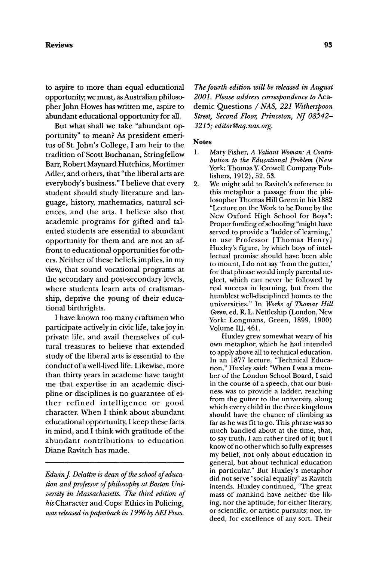#### **Reviews 93**

to aspire to more than equal educational opportunity;, we must, as Australian philosopher John Howes has written me, aspire to abundant educational opportunity for all.

But what shall we take "abundant opportunity" to mean? As president emeritus of St. John's College, I am heir to the tradition of Scott Buchanan, Stringfellow Barr, Robert Maynard Hutchins, Mortimer Adler, and others, that "the liberal arts are everybody's business." I believe that every student should study literature and language, history, mathematics, natural sciences, and the arts. I believe also that academic programs for gifted and talented students are essential to abundant opportunity for them and are not an affront to educational opportunities for others. Neither of these beliefs implies, in my view, that sound vocational programs at the secondary and post-secondary levels, where students learn arts of craftsmanship, deprive the young of their educational birthrights.

I have known too many craftsmen who participate actively in civic life, take joy in private life, and avail themselves of cultural treasures to believe that extended study of the liberal arts is essential to the conduct of a well-lived life. Likewise, more than thirty years in academe have taught me that expertise in an academic discipline or disciplines is no guarantee of either refined intelligence or good character. When I think about abundant educational opportunity, I keep these facts in mind, and I think with gratitude of the abundant contributions to education Diane Ravitch has made.

*Edwin J. Delattre is dean of the school of education and professor of philosophy at Boston University in Massachusetts. The third edition of*  his Character and Cops: Ethics in Policing, *was released in paperback in 1996 by AEI Press.* 

*The fourth edition will be released in August 2001. Please address correspondence to* Academic Questions /NAS, *221 Witherspoon Street, Second Floor, Princeton, NJ 08542- 3215; editor@aq, nas.org.* 

## **Notes**

- 1. Mary Fisher, *A Valiant Woman: A Contribution to the Educational Problem* (New York: Thomas Y. Crowell Company Publishers, 1912), 52, 53.
- 2. We might add to Ravitch's reference to this metaphor a passage from the philosopher Thomas Hill Green in his 1882 "Lecture on the Work to be Done by the New Oxford High School for Boys": Proper funding of schooling "might have served to provide a 'ladder of learning,' to use Professor [Thomas Henry] Huxley's figure, by which boys of intellectual promise should have been able to mount, I do not say 'from the gutter,' for that phrase would imply parental neglect, which can never be followed by real success in learning, but from the humblest well-disciplined homes to the universities." In *Works of Thomas Hill Green,* ed. R. L. Nettleship (London, New York: Longmans, Green, 1899, 1900) Volume III, 461.

Huxley grew somewhat weary of his own metaphor, which he had intended to apply above all to technical education. In an 1877 lecture, "Technical Education," Huxley said: "When I was a member of the London School Board, I said in the course of a speech, that our business was to provide a ladder, reaching from the gutter to the university, along which every child in the three kingdoms should have the chance of climbing as far as he was fit to go. This phrase was so much bandied about at the time, that, to say truth, I am rather tired of it; but I know of no other which so fully expresses my belief, not only about education in general, but about technical education in particular." But Huxley's metaphor did not serve "social equality" as Ravitch intends. Huxley continued, "The great mass of mankind have neither the liking, nor the aptitude, for either literary, or scientific, or artistic pursuits; nor, indeed, for excellence of any sort. Their